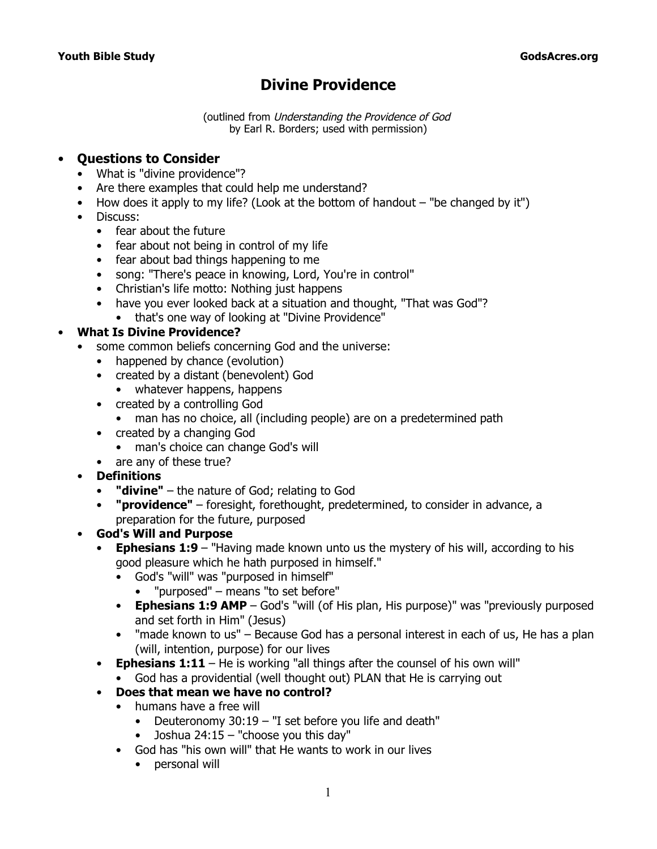# **Divine Providence**

(outlined from Understanding the Providence of God by Earl R. Borders; used with permission)

#### • **Questions to Consider**

- What is "divine providence"?
- Are there examples that could help me understand?
- How does it apply to my life? (Look at the bottom of handout "be changed by it")
- Discuss:
	- fear about the future
	- fear about not being in control of my life
	- fear about bad things happening to me
	- song: "There's peace in knowing, Lord, You're in control"
	- Christian's life motto: Nothing just happens
	- have you ever looked back at a situation and thought, "That was God"?
	- that's one way of looking at "Divine Providence"

### • **What Is Divine Providence?**

- some common beliefs concerning God and the universe:
	- happened by chance (evolution)
	- created by a distant (benevolent) God
		- whatever happens, happens
	- created by a controlling God
		- man has no choice, all (including people) are on a predetermined path
	- created by a changing God
		- man's choice can change God's will
	- are any of these true?
- **Definitions**
	- **"divine"**  the nature of God; relating to God
	- **"providence"**  foresight, forethought, predetermined, to consider in advance, a preparation for the future, purposed
- **God's Will and Purpose**
	- **Ephesians 1:9**  *"Having made known unto us the mystery of his will, according to his good pleasure which he hath purposed in himself."*
		- God's "will" was "purposed in himself"
			- "purposed" means "to set before"
		- **Ephesians 1:9 AMP**  God's "will (of His plan, His purpose)" was "previously purposed and set forth in Him" (Jesus)
		- *"made known to us"*  Because God has a personal interest in each of us, He has a plan (will, intention, purpose) for our lives
	- **Ephesians 1:11**  He is working "all things after the counsel of his own will"
		- God has a providential (well thought out) PLAN that He is carrying out
	- **Does that mean we have no control?**
		- humans have a free will
			- Deuteronomy 30:19 *"I set before you life and death"*
			- Joshua 24:15 *"choose you this day"*
		- God has "his own will" that He wants to work in our lives
			- personal will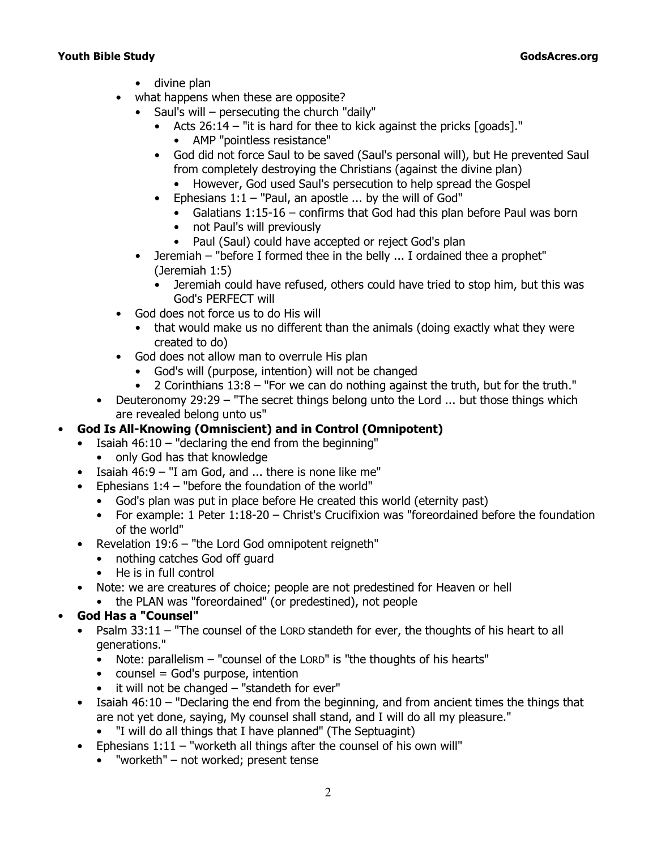- divine plan
- what happens when these are opposite?
	- Saul's will persecuting the church "daily"
		- Acts 26:14 *"it is hard for thee to kick against the pricks [goads]."*
			- AMP "pointless resistance"
		- God did not force Saul to be saved (Saul's personal will), but He prevented Saul from completely destroying the Christians (against the divine plan)
			- However, God used Saul's persecution to help spread the Gospel
		- Ephesians 1:1 *"Paul, an apostle ... by the will of God"*
			- Galatians 1:15-16 confirms that God had this plan before Paul was born
			- not Paul's will previously
			- Paul (Saul) could have accepted or reject God's plan
	- Jeremiah *"before I formed thee in the belly ... I ordained thee a prophet"* (Jeremiah 1:5)
		- Jeremiah could have refused, others could have tried to stop him, but this was God's PERFECT will
- God does not force us to do His will
	- that would make us no different than the animals (doing exactly what they were created to do)
- God does not allow man to overrule His plan
	- God's will (purpose, intention) will not be changed
	- 2 Corinthians 13:8 *"For we can do nothing against the truth, but for the truth."*
- Deuteronomy 29:29 *"The secret things belong unto the Lord ... but those things which are revealed belong unto us"*

## • **God Is All-Knowing (Omniscient) and in Control (Omnipotent)**

- Isaiah 46:10 *"declaring the end from the beginning"*
	- only God has that knowledge
- Isaiah 46:9 *"I am God, and ... there is none like me"*
- Ephesians 1:4 *"before the foundation of the world"*
	- God's plan was put in place before He created this world (eternity past)
	- For example: 1 Peter 1:18-20 Christ's Crucifixion was *"foreordained before the foundation of the world"*
- Revelation 19:6 *"the Lord God omnipotent reigneth"*
	- nothing catches God off guard
	- He is in full control
- Note: we are creatures of choice; people are not predestined for Heaven or hell
	- the PLAN was "foreordained" (or predestined), not people

### • **God Has a "Counsel"**

- Psalm 33:11 *"The counsel of the L*ORD *standeth for ever, the thoughts of his heart to all generations."*
	- Note: parallelism "counsel of the LORD" is "the thoughts of his hearts"
	- $\bullet$  counsel = God's purpose, intention
	- it will not be changed "standeth for ever"
- Isaiah 46:10 *"Declaring the end from the beginning, and from ancient times the things that are not yet done, saying, My counsel shall stand, and I will do all my pleasure."*
	- "I will do all things that I have planned" (The Septuagint)
- Ephesians 1:11 *"worketh all things after the counsel of his own will"*
	- "worketh" not worked; present tense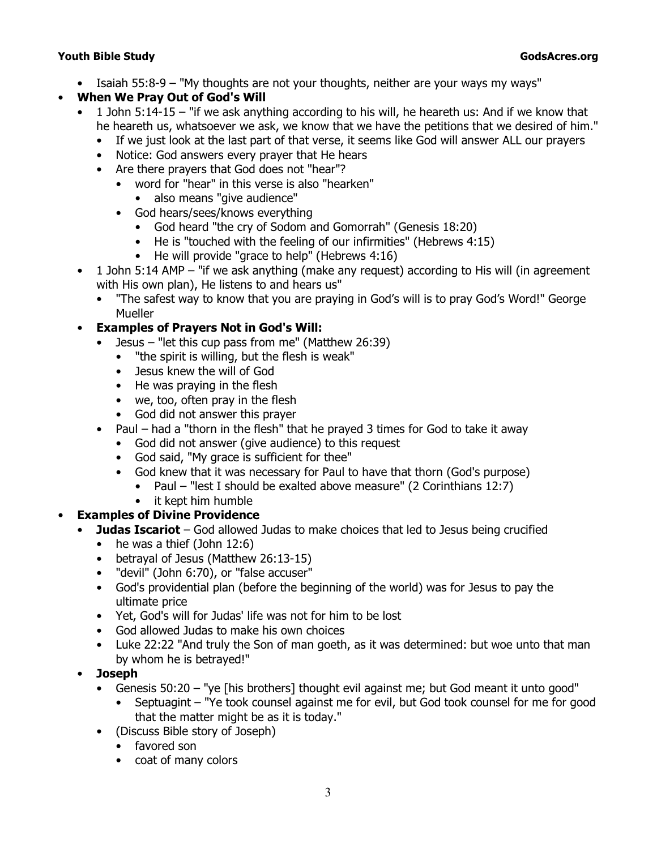- Isaiah 55:8-9 *"My thoughts are not your thoughts, neither are your ways my ways"*
- **When We Pray Out of God's Will**
	- 1 John 5:14-15 *"if we ask anything according to his will, he heareth us: And if we know that he heareth us, whatsoever we ask, we know that we have the petitions that we desired of him."*
		- If we just look at the last part of that verse, it seems like God will answer ALL our prayers
		- Notice: God answers every prayer that He hears
		- Are there prayers that God does not "hear"?
			- word for "hear" in this verse is also "hearken"
				- also means "give audience"
			- God hears/sees/knows everything
				- God heard *"the cry of Sodom and Gomorrah"* (Genesis 18:20)
				- He is *"touched with the feeling of our infirmities"* (Hebrews 4:15)
				- He will provide *"grace to help"* (Hebrews 4:16)
	- 1 John 5:14 AMP "if we ask anything (make any request) according to His will (in agreement with His own plan), He listens to and hears us"
		- "The safest way to know that you are praying in God's will is to pray God's Word!" George **Mueller**

## • **Examples of Prayers Not in God's Will:**

- Jesus *"let this cup pass from me"* (Matthew 26:39)
	- *"the spirit is willing, but the flesh is weak"*
	- Jesus knew the will of God
	- He was praying in the flesh
	- we, too, often pray in the flesh
	- God did not answer this prayer
- Paul had a "thorn in the flesh" that he prayed 3 times for God to take it away
	- God did not answer (give audience) to this request
	- God said, "My grace is sufficient for thee"
	- God knew that it was necessary for Paul to have that thorn (God's purpose)
		- Paul *"lest I should be exalted above measure"* (2 Corinthians 12:7)
	- it kept him humble

## • **Examples of Divine Providence**

- **Judas Iscariot** God allowed Judas to make choices that led to Jesus being crucified
	- he was a thief (John 12:6)
	- betrayal of Jesus (Matthew 26:13-15)
	- "devil" (John 6:70), or "false accuser"
	- God's providential plan (before the beginning of the world) was for Jesus to pay the ultimate price
	- Yet, God's will for Judas' life was not for him to be lost
	- God allowed Judas to make his own choices
	- Luke 22:22 *"And truly the Son of man goeth, as it was determined: but woe unto that man by whom he is betrayed!"*
- **Joseph**
	- Genesis 50:20 "ye [his brothers] thought evil against me; but God meant it unto good"
		- Septuagint "Ye took counsel against me for evil, but God took counsel for me for good that the matter might be as it is today."
	- (Discuss Bible story of Joseph)
		- favored son
		- coat of many colors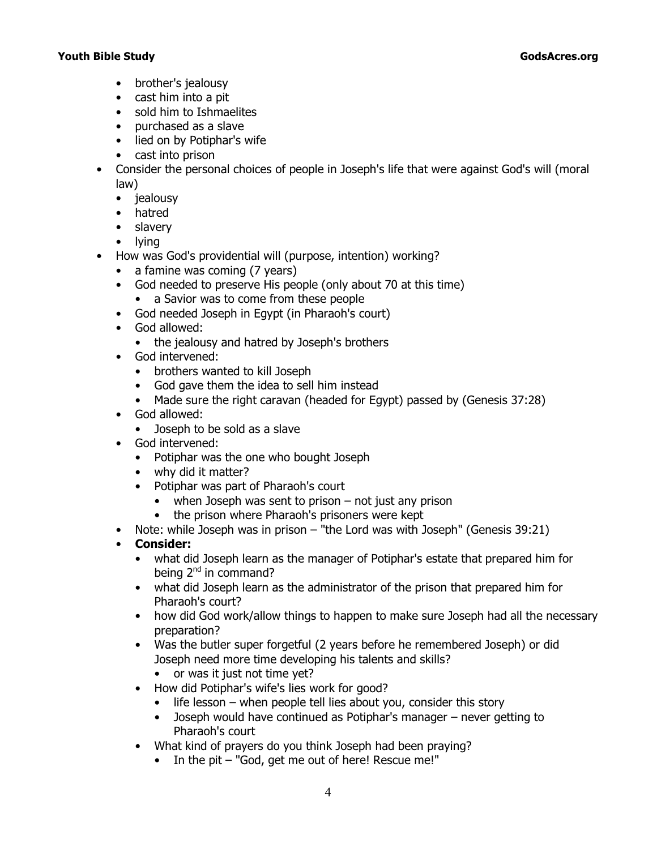- brother's jealousy
- cast him into a pit
- sold him to Ishmaelites
- purchased as a slave
- lied on by Potiphar's wife
- cast into prison
- Consider the personal choices of people in Joseph's life that were against God's will (moral law)
	- jealousy
	- hatred
	- slavery
	- lying
- How was God's providential will (purpose, intention) working?
	- a famine was coming (7 years)
	- God needed to preserve His people (only about 70 at this time)
		- a Savior was to come from these people
	- God needed Joseph in Egypt (in Pharaoh's court)
	- God allowed:
		- the jealousy and hatred by Joseph's brothers
	- God intervened:
		- brothers wanted to kill Joseph
		- God gave them the idea to sell him instead
		- Made sure the right caravan (headed for Egypt) passed by (Genesis 37:28)
	- God allowed:
		- Joseph to be sold as a slave
	- God intervened:
		- Potiphar was the one who bought Joseph
		- why did it matter?
		- Potiphar was part of Pharaoh's court
			- when Joseph was sent to prison not just any prison
			- the prison where Pharaoh's prisoners were kept
	- Note: while Joseph was in prison *"the Lord was with Joseph"* (Genesis 39:21)
	- **Consider:**
		- what did Joseph learn as the manager of Potiphar's estate that prepared him for being 2<sup>nd</sup> in command?
		- what did Joseph learn as the administrator of the prison that prepared him for Pharaoh's court?
		- how did God work/allow things to happen to make sure Joseph had all the necessary preparation?
		- Was the butler super forgetful (2 years before he remembered Joseph) or did Joseph need more time developing his talents and skills?
			- or was it just not time yet?
		- How did Potiphar's wife's lies work for good?
			- life lesson when people tell lies about you, consider this story
			- Joseph would have continued as Potiphar's manager never getting to Pharaoh's court
		- What kind of prayers do you think Joseph had been praying?
			- In the pit "God, get me out of here! Rescue me!"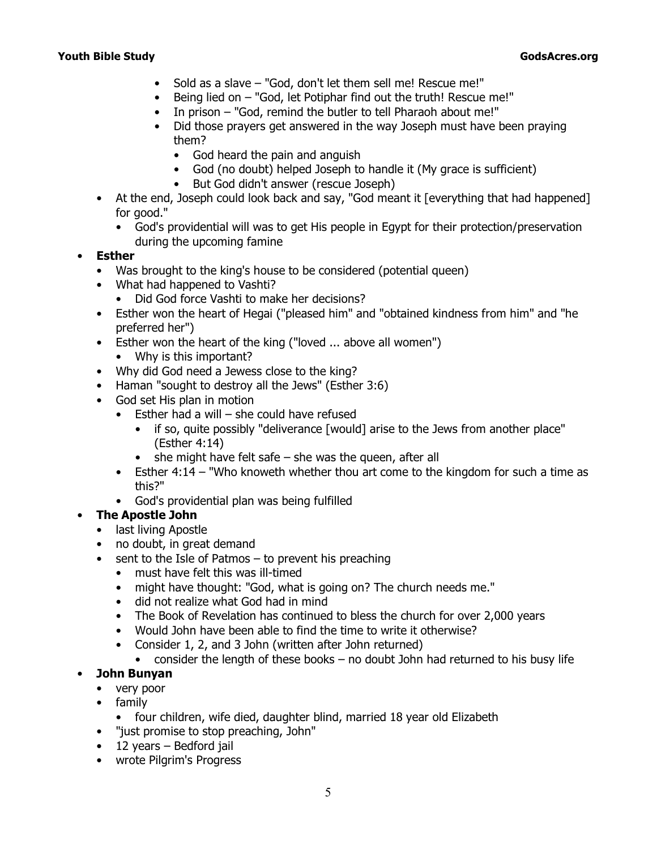- Sold as a slave "God, don't let them sell me! Rescue me!"
- Being lied on "God, let Potiphar find out the truth! Rescue me!"
- In prison "God, remind the butler to tell Pharaoh about me!"
- Did those prayers get answered in the way Joseph must have been praying them?
	- God heard the pain and anguish
	- God (no doubt) helped Joseph to handle it (My grace is sufficient)
	- But God didn't answer (rescue Joseph)
- At the end, Joseph could look back and say, "God meant it [everything that had happened] for good."
	- God's providential will was to get His people in Egypt for their protection/preservation during the upcoming famine

### • **Esther**

- Was brought to the king's house to be considered (potential queen)
- What had happened to Vashti?
	- Did God force Vashti to make her decisions?
- Esther won the heart of Hegai ("pleased him" and "obtained kindness from him" and "he preferred her")
- Esther won the heart of the king ("loved ... above all women")
	- Why is this important?
- Why did God need a Jewess close to the king?
- Haman *"sought to destroy all the Jews"* (Esther 3:6)
- God set His plan in motion
	- Esther had a will she could have refused
		- if so, quite possibly *"deliverance [would] arise to the Jews from another place"* (Esther 4:14)
		- she might have felt safe she was the queen, after all
	- Esther 4:14 *"Who knoweth whether thou art come to the kingdom for such a time as this?"*
	- God's providential plan was being fulfilled

## • **The Apostle John**

- last living Apostle
- no doubt, in great demand
- sent to the Isle of Patmos to prevent his preaching
	- must have felt this was ill-timed
	- might have thought: "God, what is going on? The church needs me."
	- did not realize what God had in mind
	- The Book of Revelation has continued to bless the church for over 2,000 years
	- Would John have been able to find the time to write it otherwise?
	- Consider 1, 2, and 3 John (written after John returned)
		- consider the length of these books no doubt John had returned to his busy life

## • **John Bunyan**

- very poor
- family
	- four children, wife died, daughter blind, married 18 year old Elizabeth
- "just promise to stop preaching, John"
- $\bullet$  12 years Bedford jail
- wrote *Pilgrim's Progress*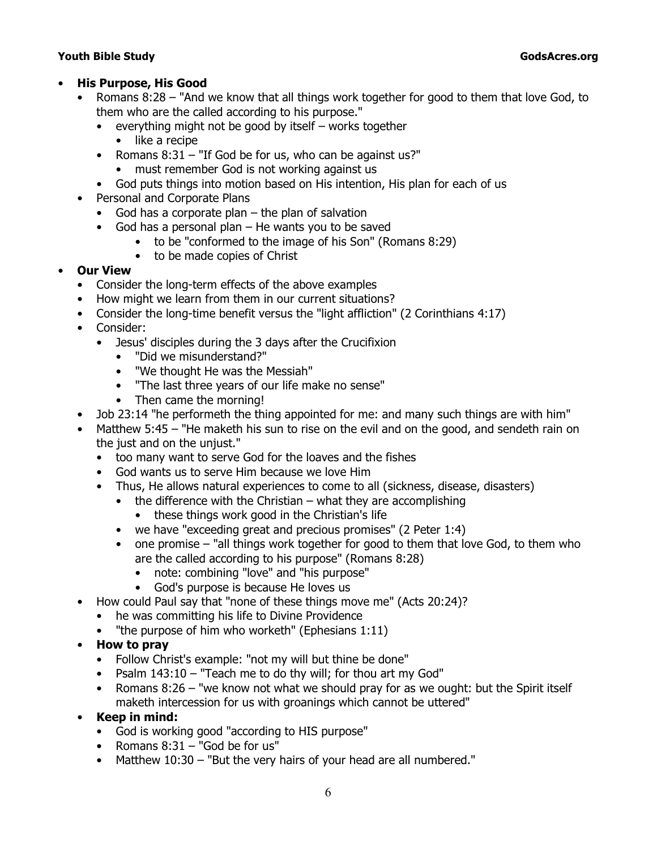#### • **His Purpose, His Good**

- Romans 8:28 "And we know that all things work together for good to them that love God, to them who are the called according to his purpose."
	- everything might not be good by itself works together
		- like a recipe
	- Romans 8:31 "If God be for us, who can be against us?"
		- must remember God is not working against us
	- God puts things into motion based on His intention, His plan for each of us
- Personal and Corporate Plans
	- God has a corporate plan the plan of salvation
	- God has a personal plan He wants you to be saved
		- to be "conformed to the image of his Son" (Romans 8:29)
		- to be made copies of Christ

### • **Our View**

- Consider the long-term effects of the above examples
- How might we learn from them in our current situations?
- Consider the long-time benefit versus the *"light affliction"* (2 Corinthians 4:17)
- Consider:
	- Jesus' disciples during the 3 days after the Crucifixion
		- "Did we misunderstand?"
		- "We thought He was the Messiah"
		- "The last three years of our life make no sense"
		- Then came the morning!
- Job 23:14 *"he performeth the thing appointed for me: and many such things are with him"*
- Matthew 5:45 *"He maketh his sun to rise on the evil and on the good, and sendeth rain on the just and on the unjust."*
	- too many want to serve God for the loaves and the fishes
	- God wants us to serve Him because we love Him
	- Thus, He allows natural experiences to come to all (sickness, disease, disasters)
		- $\bullet$  the difference with the Christian what they are accomplishing
			- these things work good in the Christian's life
		- we have *"exceeding great and precious promises"* (2 Peter 1:4)
		- one promise *"all things work together for good to them that love God, to them who are the called according to his purpose"* (Romans 8:28)
			- note: combining "love" and "his purpose"
			- God's purpose is because He loves us
- How could Paul say that *"none of these things move me"* (Acts 20:24)?
	- he was committing his life to Divine Providence
	- *"the purpose of him who worketh"* (Ephesians 1:11)
- **How to pray**
	- Follow Christ's example: *"not my will but thine be done"*
	- Psalm 143:10 *"Teach me to do thy will; for thou art my God"*
	- Romans 8:26 *"we know not what we should pray for as we ought: but the Spirit itself maketh intercession for us with groanings which cannot be uttered"*
- **Keep in mind:**
	- God is working good "according to HIS purpose"
	- Romans 8:31 *"God be for us"*
	- Matthew 10:30 *"But the very hairs of your head are all numbered."*